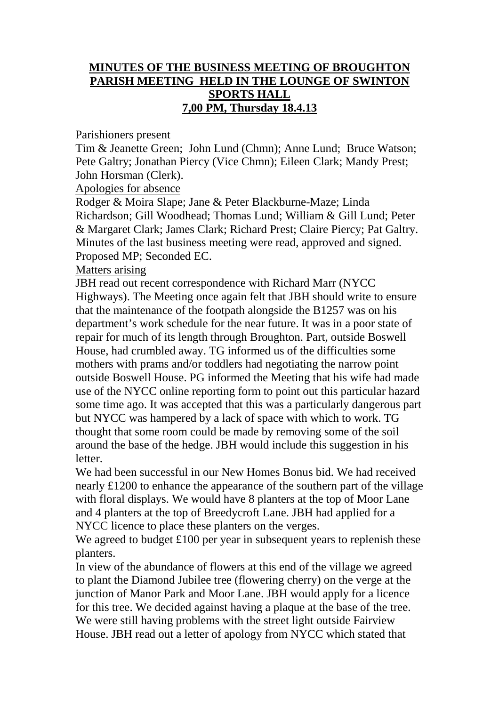## **MINUTES OF THE BUSINESS MEETING OF BROUGHTON PARISH MEETING HELD IN THE LOUNGE OF SWINTON SPORTS HALL 7,00 PM, Thursday 18.4.13**

Parishioners present

Tim & Jeanette Green; John Lund (Chmn); Anne Lund; Bruce Watson; Pete Galtry; Jonathan Piercy (Vice Chmn); Eileen Clark; Mandy Prest; John Horsman (Clerk).

Apologies for absence

Rodger & Moira Slape; Jane & Peter Blackburne-Maze; Linda Richardson; Gill Woodhead; Thomas Lund; William & Gill Lund; Peter & Margaret Clark; James Clark; Richard Prest; Claire Piercy; Pat Galtry. Minutes of the last business meeting were read, approved and signed. Proposed MP; Seconded EC.

Matters arising

JBH read out recent correspondence with Richard Marr (NYCC Highways). The Meeting once again felt that JBH should write to ensure that the maintenance of the footpath alongside the B1257 was on his department's work schedule for the near future. It was in a poor state of repair for much of its length through Broughton. Part, outside Boswell House, had crumbled away. TG informed us of the difficulties some mothers with prams and/or toddlers had negotiating the narrow point outside Boswell House. PG informed the Meeting that his wife had made use of the NYCC online reporting form to point out this particular hazard some time ago. It was accepted that this was a particularly dangerous part but NYCC was hampered by a lack of space with which to work. TG thought that some room could be made by removing some of the soil around the base of the hedge. JBH would include this suggestion in his letter.

We had been successful in our New Homes Bonus bid. We had received nearly £1200 to enhance the appearance of the southern part of the village with floral displays. We would have 8 planters at the top of Moor Lane and 4 planters at the top of Breedycroft Lane. JBH had applied for a NYCC licence to place these planters on the verges.

We agreed to budget £100 per year in subsequent years to replenish these planters.

In view of the abundance of flowers at this end of the village we agreed to plant the Diamond Jubilee tree (flowering cherry) on the verge at the junction of Manor Park and Moor Lane. JBH would apply for a licence for this tree. We decided against having a plaque at the base of the tree. We were still having problems with the street light outside Fairview House. JBH read out a letter of apology from NYCC which stated that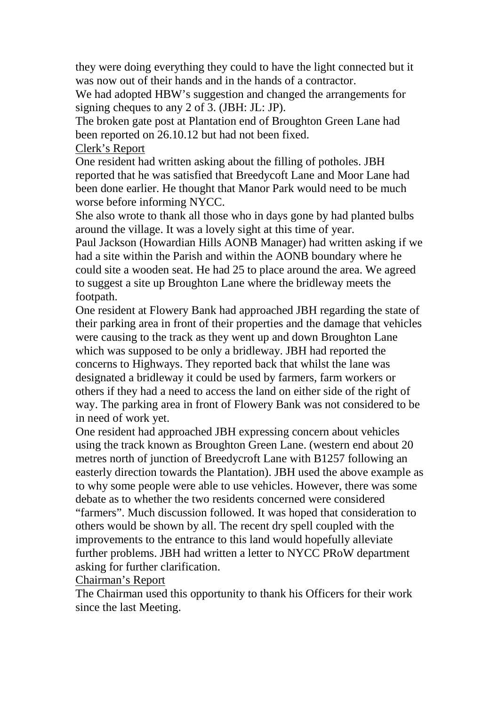they were doing everything they could to have the light connected but it was now out of their hands and in the hands of a contractor.

We had adopted HBW's suggestion and changed the arrangements for signing cheques to any 2 of 3. (JBH: JL: JP).

The broken gate post at Plantation end of Broughton Green Lane had been reported on 26.10.12 but had not been fixed.

Clerk's Report

One resident had written asking about the filling of potholes. JBH reported that he was satisfied that Breedycoft Lane and Moor Lane had been done earlier. He thought that Manor Park would need to be much worse before informing NYCC.

She also wrote to thank all those who in days gone by had planted bulbs around the village. It was a lovely sight at this time of year.

Paul Jackson (Howardian Hills AONB Manager) had written asking if we had a site within the Parish and within the AONB boundary where he could site a wooden seat. He had 25 to place around the area. We agreed to suggest a site up Broughton Lane where the bridleway meets the footpath.

One resident at Flowery Bank had approached JBH regarding the state of their parking area in front of their properties and the damage that vehicles were causing to the track as they went up and down Broughton Lane which was supposed to be only a bridleway. JBH had reported the concerns to Highways. They reported back that whilst the lane was designated a bridleway it could be used by farmers, farm workers or others if they had a need to access the land on either side of the right of way. The parking area in front of Flowery Bank was not considered to be in need of work yet.

One resident had approached JBH expressing concern about vehicles using the track known as Broughton Green Lane. (western end about 20 metres north of junction of Breedycroft Lane with B1257 following an easterly direction towards the Plantation). JBH used the above example as to why some people were able to use vehicles. However, there was some debate as to whether the two residents concerned were considered "farmers". Much discussion followed. It was hoped that consideration to others would be shown by all. The recent dry spell coupled with the improvements to the entrance to this land would hopefully alleviate further problems. JBH had written a letter to NYCC PRoW department asking for further clarification.

Chairman's Report

The Chairman used this opportunity to thank his Officers for their work since the last Meeting.